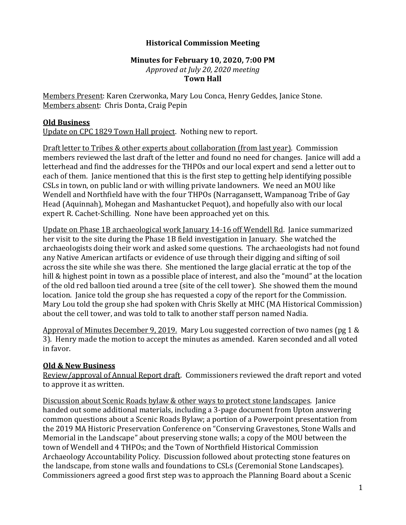## **Historical Commission Meeting**

## **Minutes for February 10, 2020, 7:00 PM** *Approved at July 20, 2020 meeting* **Town Hall**

Members Present: Karen Czerwonka, Mary Lou Conca, Henry Geddes, Janice Stone. Members absent: Chris Donta, Craig Pepin

## **Old Business**

Update on CPC 1829 Town Hall project. Nothing new to report.

Draft letter to Tribes & other experts about collaboration (from last year). Commission members reviewed the last draft of the letter and found no need for changes. Janice will add a letterhead and find the addresses for the THPOs and our local expert and send a letter out to each of them. Janice mentioned that this is the first step to getting help identifying possible CSLs in town, on public land or with willing private landowners. We need an MOU like Wendell and Northfield have with the four THPOs (Narragansett, Wampanoag Tribe of Gay Head (Aquinnah), Mohegan and Mashantucket Pequot), and hopefully also with our local expert R. Cachet-Schilling. None have been approached yet on this.

Update on Phase 1B archaeological work January 14-16 off Wendell Rd. Janice summarized her visit to the site during the Phase 1B field investigation in January. She watched the archaeologists doing their work and asked some questions. The archaeologists had not found any Native American artifacts or evidence of use through their digging and sifting of soil across the site while she was there. She mentioned the large glacial erratic at the top of the hill & highest point in town as a possible place of interest, and also the "mound" at the location of the old red balloon tied around a tree (site of the cell tower). She showed them the mound location. Janice told the group she has requested a copy of the report for the Commission. Mary Lou told the group she had spoken with Chris Skelly at MHC (MA Historical Commission) about the cell tower, and was told to talk to another staff person named Nadia.

Approval of Minutes December 9, 2019. Mary Lou suggested correction of two names (pg 1 & 3). Henry made the motion to accept the minutes as amended. Karen seconded and all voted in favor.

## **Old & New Business**

Review/approval of Annual Report draft. Commissioners reviewed the draft report and voted to approve it as written.

Discussion about Scenic Roads bylaw & other ways to protect stone landscapes. Janice handed out some additional materials, including a 3-page document from Upton answering common questions about a Scenic Roads Bylaw; a portion of a Powerpoint presentation from the 2019 MA Historic Preservation Conference on "Conserving Gravestones, Stone Walls and Memorial in the Landscape" about preserving stone walls; a copy of the MOU between the town of Wendell and 4 THPOs; and the Town of Northfield Historical Commission Archaeology Accountability Policy. Discussion followed about protecting stone features on the landscape, from stone walls and foundations to CSLs (Ceremonial Stone Landscapes). Commissioners agreed a good first step was to approach the Planning Board about a Scenic